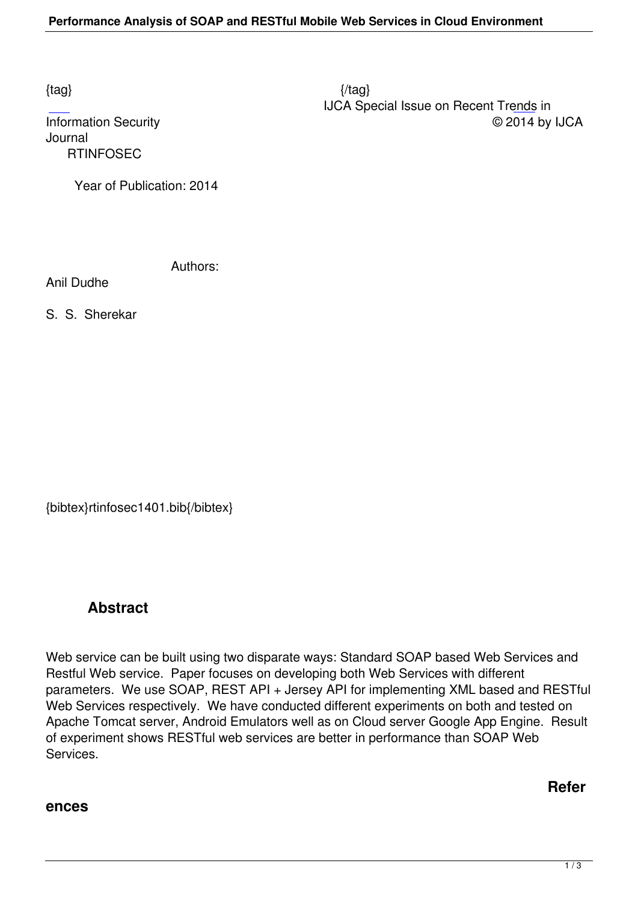Journal  [R](http://research.ijcaonline.org/rtinfosec/number1/rtinfosec1401.pdf)TINFOSEC

Year of Publication: 2014

Authors:

Anil Dudhe

S. S. Sherekar

{bibtex}rtinfosec1401.bib{/bibtex}

## **Abstract**

Web service can be built using two disparate ways: Standard SOAP based Web Services and Restful Web service. Paper focuses on developing both Web Services with different parameters. We use SOAP, REST API + Jersey API for implementing XML based and RESTful Web Services respectively. We have conducted different experiments on both and tested on Apache Tomcat server, Android Emulators well as on Cloud server Google App Engine. Result of experiment shows RESTful web services are better in performance than SOAP Web Services.

## **ences**

**Refer**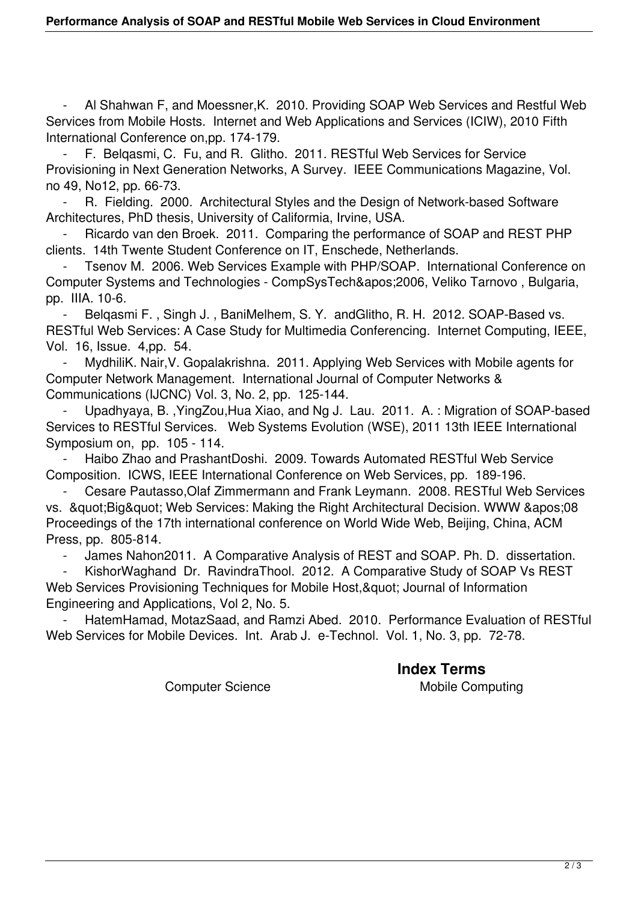- Al Shahwan F, and Moessner,K. 2010. Providing SOAP Web Services and Restful Web Services from Mobile Hosts. Internet and Web Applications and Services (ICIW), 2010 Fifth International Conference on,pp. 174-179.

F. Belgasmi, C. Fu, and R. Glitho. 2011. RESTful Web Services for Service Provisioning in Next Generation Networks, A Survey. IEEE Communications Magazine, Vol. no 49, No12, pp. 66-73.

R. Fielding. 2000. Architectural Styles and the Design of Network-based Software Architectures, PhD thesis, University of Califormia, Irvine, USA.

Ricardo van den Broek. 2011. Comparing the performance of SOAP and REST PHP clients. 14th Twente Student Conference on IT, Enschede, Netherlands.

Tsenov M. 2006. Web Services Example with PHP/SOAP. International Conference on Computer Systems and Technologies - CompSysTech'2006, Veliko Tarnovo , Bulgaria, pp. IIIA. 10-6.

Belgasmi F., Singh J., BaniMelhem, S.Y. andGlitho, R.H. 2012. SOAP-Based vs. RESTful Web Services: A Case Study for Multimedia Conferencing. Internet Computing, IEEE, Vol. 16, Issue. 4,pp. 54.

MydhiliK. Nair, V. Gopalakrishna. 2011. Applying Web Services with Mobile agents for Computer Network Management. International Journal of Computer Networks & Communications (IJCNC) Vol. 3, No. 2, pp. 125-144.

 - Upadhyaya, B. ,YingZou,Hua Xiao, and Ng J. Lau. 2011. A. : Migration of SOAP-based Services to RESTful Services. Web Systems Evolution (WSE), 2011 13th IEEE International Symposium on, pp. 105 - 114.

 - Haibo Zhao and PrashantDoshi. 2009. Towards Automated RESTful Web Service Composition. ICWS, IEEE International Conference on Web Services, pp. 189-196.

 - Cesare Pautasso,Olaf Zimmermann and Frank Leymann. 2008. RESTful Web Services vs. & quot; Big & quot; Web Services: Making the Right Architectural Decision. WWW & apos; 08 Proceedings of the 17th international conference on World Wide Web, Beijing, China, ACM Press, pp. 805-814.

James Nahon2011. A Comparative Analysis of REST and SOAP. Ph. D. dissertation.

KishorWaghand Dr. RavindraThool. 2012. A Comparative Study of SOAP Vs REST Web Services Provisioning Techniques for Mobile Host, & quot; Journal of Information Engineering and Applications, Vol 2, No. 5.

HatemHamad, MotazSaad, and Ramzi Abed. 2010. Performance Evaluation of RESTful Web Services for Mobile Devices. Int. Arab J. e-Technol. Vol. 1, No. 3, pp. 72-78.

Computer Science Mobile Computing

## **Index Terms**